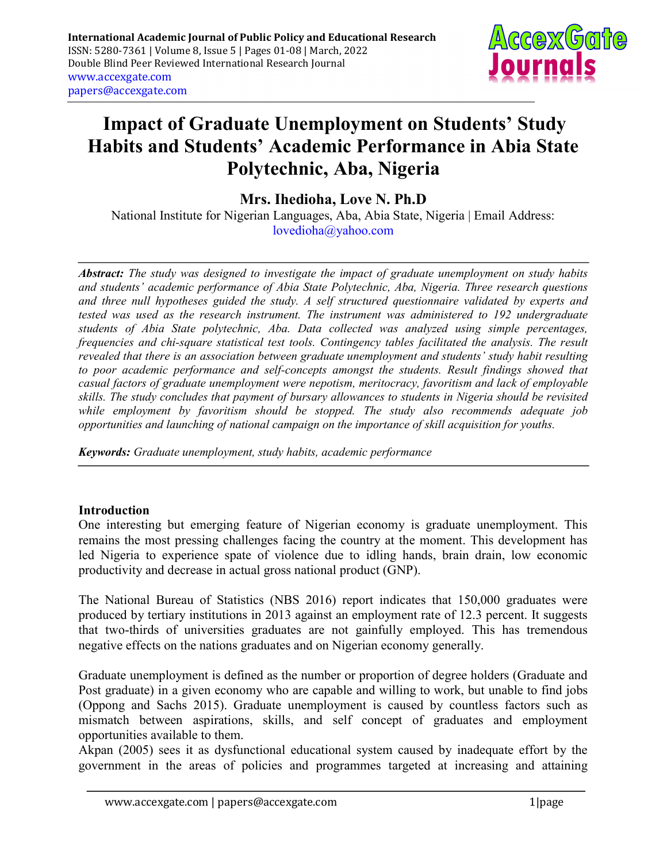

# Impact of Graduate Unemployment on Students' Study Habits and Students' Academic Performance in Abia State Polytechnic, Aba, Nigeria

Mrs. Ihedioha, Love N. Ph.D

National Institute for Nigerian Languages, Aba, Abia State, Nigeria | Email Address: lovedioha@yahoo.com

Abstract: The study was designed to investigate the impact of graduate unemployment on study habits and students' academic performance of Abia State Polytechnic, Aba, Nigeria. Three research questions and three null hypotheses guided the study. A self structured questionnaire validated by experts and tested was used as the research instrument. The instrument was administered to 192 undergraduate students of Abia State polytechnic, Aba. Data collected was analyzed using simple percentages, frequencies and chi-square statistical test tools. Contingency tables facilitated the analysis. The result revealed that there is an association between graduate unemployment and students' study habit resulting to poor academic performance and self-concepts amongst the students. Result findings showed that casual factors of graduate unemployment were nepotism, meritocracy, favoritism and lack of employable skills. The study concludes that payment of bursary allowances to students in Nigeria should be revisited while employment by favoritism should be stopped. The study also recommends adequate job opportunities and launching of national campaign on the importance of skill acquisition for youths.

Keywords: Graduate unemployment, study habits, academic performance

# Introduction

One interesting but emerging feature of Nigerian economy is graduate unemployment. This remains the most pressing challenges facing the country at the moment. This development has led Nigeria to experience spate of violence due to idling hands, brain drain, low economic productivity and decrease in actual gross national product (GNP).

The National Bureau of Statistics (NBS 2016) report indicates that 150,000 graduates were produced by tertiary institutions in 2013 against an employment rate of 12.3 percent. It suggests that two-thirds of universities graduates are not gainfully employed. This has tremendous negative effects on the nations graduates and on Nigerian economy generally.

Graduate unemployment is defined as the number or proportion of degree holders (Graduate and Post graduate) in a given economy who are capable and willing to work, but unable to find jobs (Oppong and Sachs 2015). Graduate unemployment is caused by countless factors such as mismatch between aspirations, skills, and self concept of graduates and employment opportunities available to them.

Akpan (2005) sees it as dysfunctional educational system caused by inadequate effort by the government in the areas of policies and programmes targeted at increasing and attaining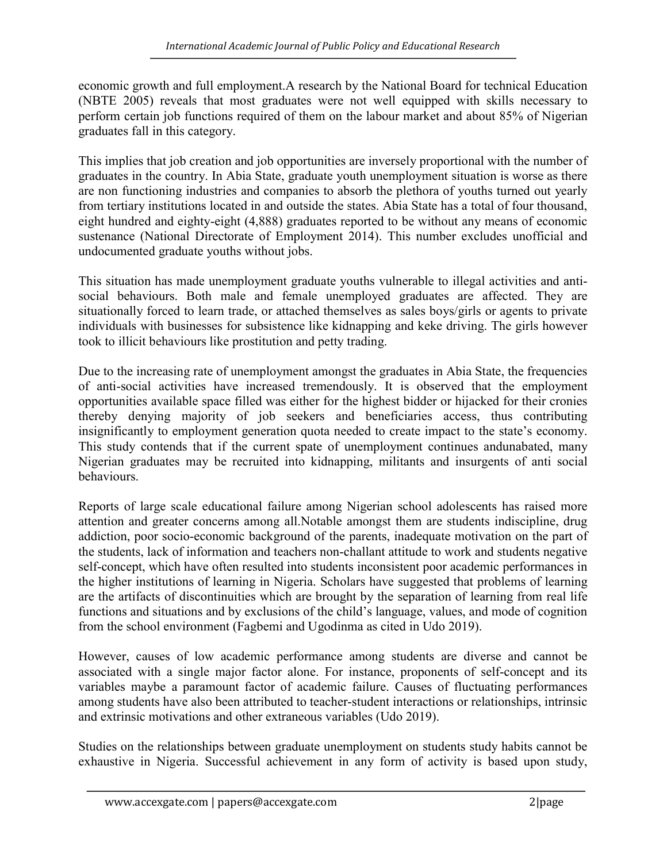economic growth and full employment.A research by the National Board for technical Education (NBTE 2005) reveals that most graduates were not well equipped with skills necessary to perform certain job functions required of them on the labour market and about 85% of Nigerian graduates fall in this category.

This implies that job creation and job opportunities are inversely proportional with the number of graduates in the country. In Abia State, graduate youth unemployment situation is worse as there are non functioning industries and companies to absorb the plethora of youths turned out yearly from tertiary institutions located in and outside the states. Abia State has a total of four thousand, eight hundred and eighty-eight (4,888) graduates reported to be without any means of economic sustenance (National Directorate of Employment 2014). This number excludes unofficial and undocumented graduate youths without jobs.

This situation has made unemployment graduate youths vulnerable to illegal activities and antisocial behaviours. Both male and female unemployed graduates are affected. They are situationally forced to learn trade, or attached themselves as sales boys/girls or agents to private individuals with businesses for subsistence like kidnapping and keke driving. The girls however took to illicit behaviours like prostitution and petty trading.

Due to the increasing rate of unemployment amongst the graduates in Abia State, the frequencies of anti-social activities have increased tremendously. It is observed that the employment opportunities available space filled was either for the highest bidder or hijacked for their cronies thereby denying majority of job seekers and beneficiaries access, thus contributing insignificantly to employment generation quota needed to create impact to the state's economy. This study contends that if the current spate of unemployment continues andunabated, many Nigerian graduates may be recruited into kidnapping, militants and insurgents of anti social behaviours.

Reports of large scale educational failure among Nigerian school adolescents has raised more attention and greater concerns among all.Notable amongst them are students indiscipline, drug addiction, poor socio-economic background of the parents, inadequate motivation on the part of the students, lack of information and teachers non-challant attitude to work and students negative self-concept, which have often resulted into students inconsistent poor academic performances in the higher institutions of learning in Nigeria. Scholars have suggested that problems of learning are the artifacts of discontinuities which are brought by the separation of learning from real life functions and situations and by exclusions of the child's language, values, and mode of cognition from the school environment (Fagbemi and Ugodinma as cited in Udo 2019).

However, causes of low academic performance among students are diverse and cannot be associated with a single major factor alone. For instance, proponents of self-concept and its variables maybe a paramount factor of academic failure. Causes of fluctuating performances among students have also been attributed to teacher-student interactions or relationships, intrinsic and extrinsic motivations and other extraneous variables (Udo 2019).

Studies on the relationships between graduate unemployment on students study habits cannot be exhaustive in Nigeria. Successful achievement in any form of activity is based upon study,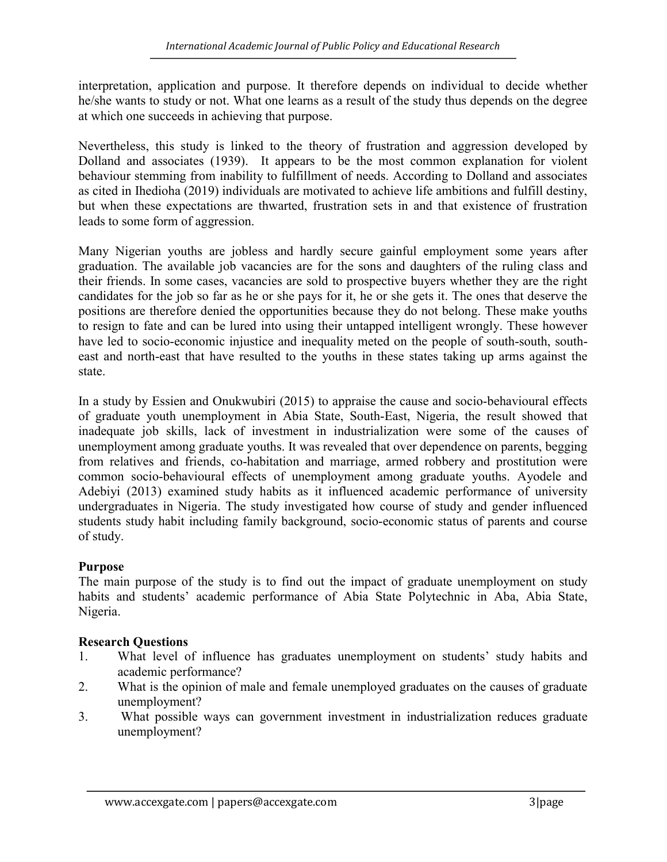interpretation, application and purpose. It therefore depends on individual to decide whether he/she wants to study or not. What one learns as a result of the study thus depends on the degree at which one succeeds in achieving that purpose.

Nevertheless, this study is linked to the theory of frustration and aggression developed by Dolland and associates (1939). It appears to be the most common explanation for violent behaviour stemming from inability to fulfillment of needs. According to Dolland and associates as cited in Ihedioha (2019) individuals are motivated to achieve life ambitions and fulfill destiny, but when these expectations are thwarted, frustration sets in and that existence of frustration leads to some form of aggression.

Many Nigerian youths are jobless and hardly secure gainful employment some years after graduation. The available job vacancies are for the sons and daughters of the ruling class and their friends. In some cases, vacancies are sold to prospective buyers whether they are the right candidates for the job so far as he or she pays for it, he or she gets it. The ones that deserve the positions are therefore denied the opportunities because they do not belong. These make youths to resign to fate and can be lured into using their untapped intelligent wrongly. These however have led to socio-economic injustice and inequality meted on the people of south-south, southeast and north-east that have resulted to the youths in these states taking up arms against the state.

In a study by Essien and Onukwubiri (2015) to appraise the cause and socio-behavioural effects of graduate youth unemployment in Abia State, South-East, Nigeria, the result showed that inadequate job skills, lack of investment in industrialization were some of the causes of unemployment among graduate youths. It was revealed that over dependence on parents, begging from relatives and friends, co-habitation and marriage, armed robbery and prostitution were common socio-behavioural effects of unemployment among graduate youths. Ayodele and Adebiyi (2013) examined study habits as it influenced academic performance of university undergraduates in Nigeria. The study investigated how course of study and gender influenced students study habit including family background, socio-economic status of parents and course of study.

# Purpose

The main purpose of the study is to find out the impact of graduate unemployment on study habits and students' academic performance of Abia State Polytechnic in Aba, Abia State, Nigeria.

# Research Questions

- 1. What level of influence has graduates unemployment on students' study habits and academic performance?
- 2. What is the opinion of male and female unemployed graduates on the causes of graduate unemployment?
- 3. What possible ways can government investment in industrialization reduces graduate unemployment?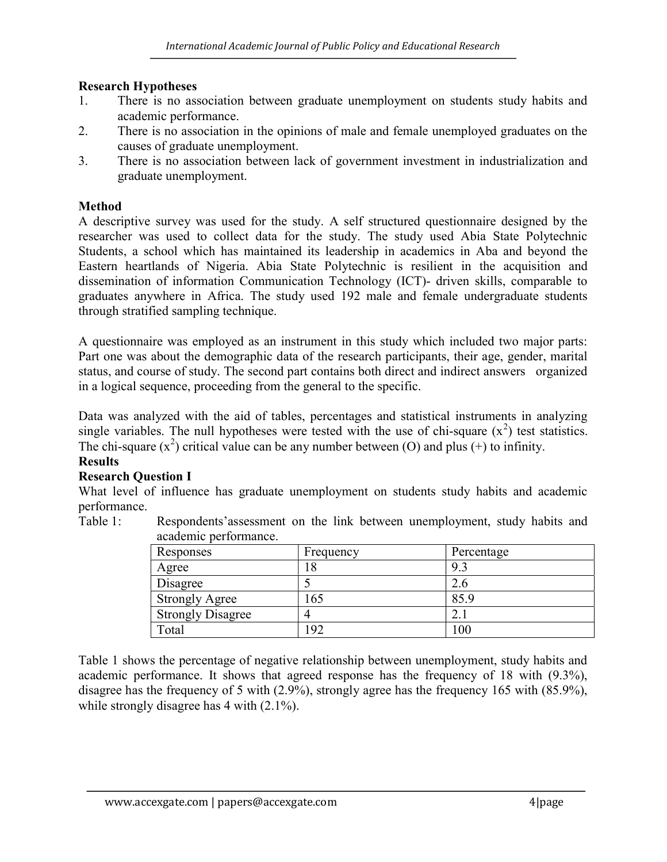# Research Hypotheses

- 1. There is no association between graduate unemployment on students study habits and academic performance.
- 2. There is no association in the opinions of male and female unemployed graduates on the causes of graduate unemployment.
- 3. There is no association between lack of government investment in industrialization and graduate unemployment.

## **Method**

A descriptive survey was used for the study. A self structured questionnaire designed by the researcher was used to collect data for the study. The study used Abia State Polytechnic Students, a school which has maintained its leadership in academics in Aba and beyond the Eastern heartlands of Nigeria. Abia State Polytechnic is resilient in the acquisition and dissemination of information Communication Technology (ICT)- driven skills, comparable to graduates anywhere in Africa. The study used 192 male and female undergraduate students through stratified sampling technique.

A questionnaire was employed as an instrument in this study which included two major parts: Part one was about the demographic data of the research participants, their age, gender, marital status, and course of study. The second part contains both direct and indirect answers organized in a logical sequence, proceeding from the general to the specific.

Data was analyzed with the aid of tables, percentages and statistical instruments in analyzing single variables. The null hypotheses were tested with the use of chi-square  $(x^2)$  test statistics. The chi-square  $(x^2)$  critical value can be any number between (O) and plus (+) to infinity.

## **Results**

# Research Question I

What level of influence has graduate unemployment on students study habits and academic performance.

> Responses Frequency Percentage Agree  $18$  9.3 Disagree  $\begin{array}{|c|c|c|c|c|} \hline 5 & 2.6 \\ \hline \end{array}$ Strongly Agree  $165$  85.9 Strongly Disagree 4 2.1

Table 1: Respondents'assessment on the link between unemployment, study habits and academic performance.

Table 1 shows the percentage of negative relationship between unemployment, study habits and academic performance. It shows that agreed response has the frequency of 18 with (9.3%), disagree has the frequency of 5 with (2.9%), strongly agree has the frequency 165 with (85.9%), while strongly disagree has 4 with  $(2.1\%)$ .

Total 192 100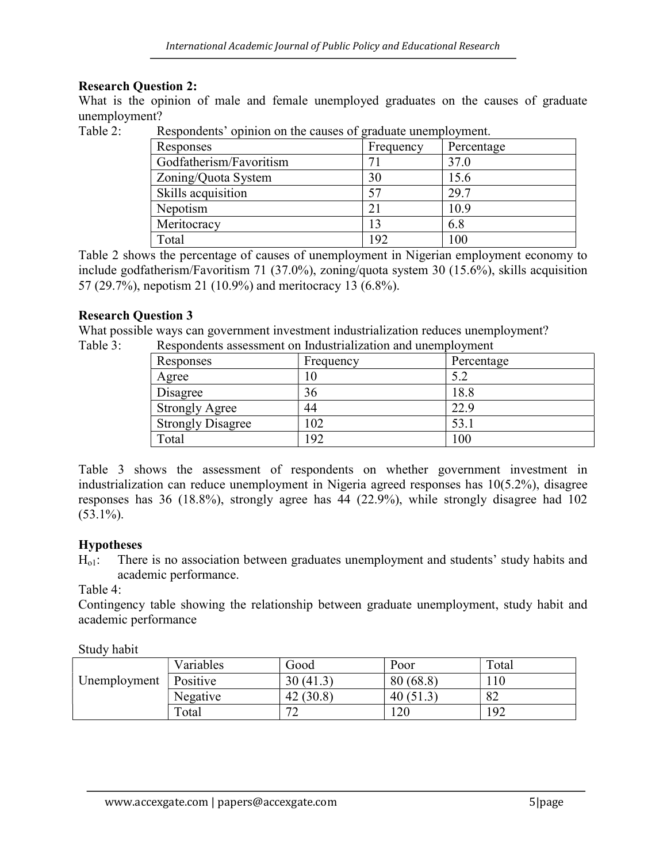## Research Question 2:

What is the opinion of male and female unemployed graduates on the causes of graduate unemployment?

Table 2: Respondents' opinion on the causes of graduate unemployment.

| Responses               | Frequency | Percentage |
|-------------------------|-----------|------------|
| Godfatherism/Favoritism |           | 37.0       |
| Zoning/Quota System     | 30        | 15.6       |
| Skills acquisition      |           | 29.7       |
| Nepotism                |           | 10.9       |
| Meritocracy             | 13        | 6.8        |
| Total                   | 192       | 100        |

Table 2 shows the percentage of causes of unemployment in Nigerian employment economy to include godfatherism/Favoritism 71 (37.0%), zoning/quota system 30 (15.6%), skills acquisition 57 (29.7%), nepotism 21 (10.9%) and meritocracy 13 (6.8%).

## Research Question 3

What possible ways can government investment industrialization reduces unemployment? Table 3: Respondents assessment on Industrialization and unemployment

| Responses                | Frequency | Percentage |
|--------------------------|-----------|------------|
| Agree                    |           | 5.2        |
| Disagree                 | 36        | 18.8       |
| <b>Strongly Agree</b>    | 44        | 22.9       |
| <b>Strongly Disagree</b> | 102       | 53.1       |
| Total                    | 192       | 100        |

Table 3 shows the assessment of respondents on whether government investment in industrialization can reduce unemployment in Nigeria agreed responses has 10(5.2%), disagree responses has 36 (18.8%), strongly agree has 44 (22.9%), while strongly disagree had 102  $(53.1\%)$ .

# Hypotheses

 $H_{ol}$ : There is no association between graduates unemployment and students' study habits and academic performance.

#### Table 4:

Contingency table showing the relationship between graduate unemployment, study habit and academic performance

Study habit

|              | Variables | Good               | Poor        | Total |
|--------------|-----------|--------------------|-------------|-------|
| Unemployment | Positive  | 30 (41.3)          | 80(68.8)    | 110   |
|              | Negative  | (30.8)<br>42       | 40 $(51.5)$ | 82    |
|              | Total     | $\mathcal{L}$<br>∼ | 120         | 192   |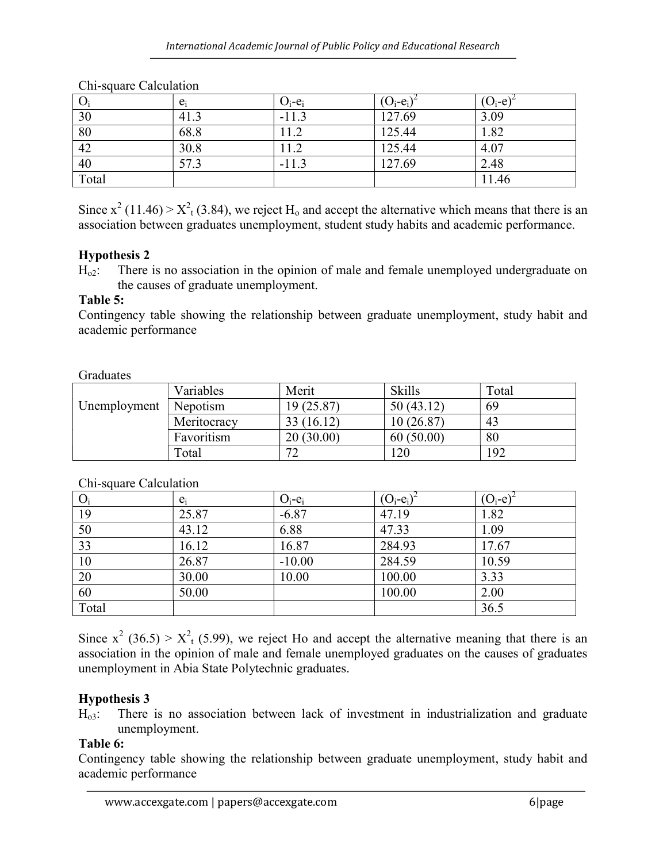|                 | $e_i$ | $O_i$ - $e_i$ | $(O_i-e_i)$ | $(O_i-e)$ |
|-----------------|-------|---------------|-------------|-----------|
| 30              | 41.3  | $-11.3$       | 127.69      | 3.09      |
| $\overline{80}$ | 68.8  | 1.2           | 125.44      | 1.82      |
| 42              | 30.8  | 11.2          | 125.44      | 4.07      |
| 40              | 57.3  | $-11.3$       | 127.69      | 2.48      |
| Total           |       |               |             | 11.46     |

Chi-square Calculation

Since  $x^2$  (11.46) >  $X^2$ <sub>t</sub> (3.84), we reject H<sub>o</sub> and accept the alternative which means that there is an association between graduates unemployment, student study habits and academic performance.

# Hypothesis 2

 $H_0$ : There is no association in the opinion of male and female unemployed undergraduate on the causes of graduate unemployment.

# Table 5:

Contingency table showing the relationship between graduate unemployment, study habit and academic performance

## Graduates

|              | Variables   | Merit      | <b>Skills</b>   | Total |
|--------------|-------------|------------|-----------------|-------|
| Unemployment | Nepotism    | 19 (25.87) | 50(43.12)       | 69    |
|              | Meritocracy | 33(16.12)  | 10 (26.87)      | 43    |
|              | Favoritism  | 20(30.00)  | 60(50.00)       | 80    |
|              | Total       | 70<br>∽    | $\overline{20}$ | 192   |

# Chi-square Calculation

| $\sum_{i=1}^{n}$ |       |                       |             |           |
|------------------|-------|-----------------------|-------------|-----------|
| $O_i$            | $e_i$ | $O_i$ -e <sub>i</sub> | $(O_i-e_i)$ | $(O_i-e)$ |
| 19               | 25.87 | $-6.87$               | 47.19       | 1.82      |
| 50               | 43.12 | 6.88                  | 47.33       | 1.09      |
| 33               | 16.12 | 16.87                 | 284.93      | 17.67     |
| 10               | 26.87 | $-10.00$              | 284.59      | 10.59     |
| 20               | 30.00 | 10.00                 | 100.00      | 3.33      |
| 60               | 50.00 |                       | 100.00      | 2.00      |
| Total            |       |                       |             | 36.5      |

Since  $x^2$  (36.5) >  $X^2$ <sub>t</sub> (5.99), we reject Ho and accept the alternative meaning that there is an association in the opinion of male and female unemployed graduates on the causes of graduates unemployment in Abia State Polytechnic graduates.

# Hypothesis 3

 $H<sub>o3</sub>$ : There is no association between lack of investment in industrialization and graduate unemployment.

# Table 6:

Contingency table showing the relationship between graduate unemployment, study habit and academic performance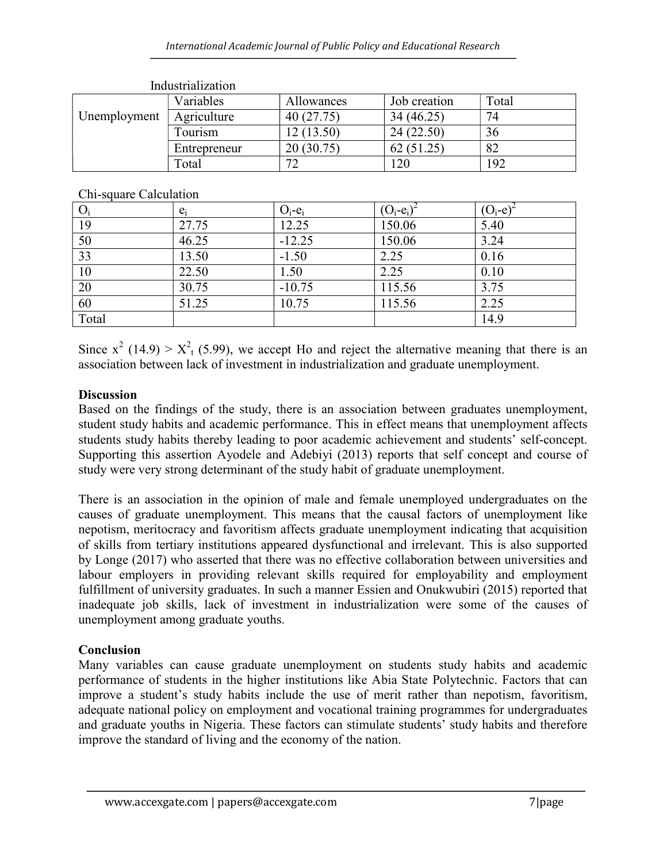|              | 111449414112441011 |            |              |       |
|--------------|--------------------|------------|--------------|-------|
|              | Variables          | Allowances | Job creation | Total |
| Unemployment | Agriculture        | 40(27.75)  | 34 (46.25)   | 74    |
|              | Tourism            | 12 (13.50) | 24 (22.50)   | 36    |
|              | Entrepreneur       | 20(30.75)  | 62           | 82    |
|              | Total              | 70         | റ∩           | 192   |

Industrialization

Chi-square Calculation

| $\overline{\phantom{a}}$<br>$O_i$ | $e_i$ | $O_i$ -e <sub>i</sub> | $(O_i-e_i)$ | $O_i$ -e |
|-----------------------------------|-------|-----------------------|-------------|----------|
| 19                                | 27.75 | 12.25                 | 150.06      | 5.40     |
| 50                                | 46.25 | $-12.25$              | 150.06      | 3.24     |
| 33                                | 13.50 | $-1.50$               | 2.25        | 0.16     |
| 10                                | 22.50 | 1.50                  | 2.25        | 0.10     |
| 20                                | 30.75 | $-10.75$              | 115.56      | 3.75     |
| 60                                | 51.25 | 10.75                 | 115.56      | 2.25     |
| Total                             |       |                       |             | 14.9     |

Since  $x^2$  (14.9) >  $X^2$ <sub>t</sub> (5.99), we accept Ho and reject the alternative meaning that there is an association between lack of investment in industrialization and graduate unemployment.

# **Discussion**

Based on the findings of the study, there is an association between graduates unemployment, student study habits and academic performance. This in effect means that unemployment affects students study habits thereby leading to poor academic achievement and students' self-concept. Supporting this assertion Ayodele and Adebiyi (2013) reports that self concept and course of study were very strong determinant of the study habit of graduate unemployment.

There is an association in the opinion of male and female unemployed undergraduates on the causes of graduate unemployment. This means that the causal factors of unemployment like nepotism, meritocracy and favoritism affects graduate unemployment indicating that acquisition of skills from tertiary institutions appeared dysfunctional and irrelevant. This is also supported by Longe (2017) who asserted that there was no effective collaboration between universities and labour employers in providing relevant skills required for employability and employment fulfillment of university graduates. In such a manner Essien and Onukwubiri (2015) reported that inadequate job skills, lack of investment in industrialization were some of the causes of unemployment among graduate youths.

# Conclusion

Many variables can cause graduate unemployment on students study habits and academic performance of students in the higher institutions like Abia State Polytechnic. Factors that can improve a student's study habits include the use of merit rather than nepotism, favoritism, adequate national policy on employment and vocational training programmes for undergraduates and graduate youths in Nigeria. These factors can stimulate students' study habits and therefore improve the standard of living and the economy of the nation.